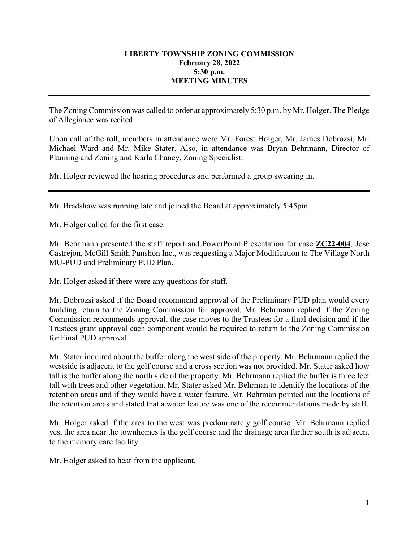## **LIBERTY TOWNSHIP ZONING COMMISSION February 28, 2022 5:30 p.m. MEETING MINUTES**

The Zoning Commission was called to order at approximately 5:30 p.m. by Mr. Holger. The Pledge of Allegiance was recited.

Upon call of the roll, members in attendance were Mr. Forest Holger, Mr. James Dobrozsi, Mr. Michael Ward and Mr. Mike Stater. Also, in attendance was Bryan Behrmann, Director of Planning and Zoning and Karla Chaney, Zoning Specialist.

Mr. Holger reviewed the hearing procedures and performed a group swearing in.

Mr. Bradshaw was running late and joined the Board at approximately 5:45pm.

Mr. Holger called for the first case.

Mr. Behrmann presented the staff report and PowerPoint Presentation for case **ZC22-004**, Jose Castrejon, McGill Smith Punshon Inc., was requesting a Major Modification to The Village North MU-PUD and Preliminary PUD Plan.

Mr. Holger asked if there were any questions for staff.

Mr. Dobrozsi asked if the Board recommend approval of the Preliminary PUD plan would every building return to the Zoning Commission for approval. Mr. Behrmann replied if the Zoning Commission recommends approval, the case moves to the Trustees for a final decision and if the Trustees grant approval each component would be required to return to the Zoning Commission for Final PUD approval.

Mr. Stater inquired about the buffer along the west side of the property. Mr. Behrmann replied the westside is adjacent to the golf course and a cross section was not provided. Mr. Stater asked how tall is the buffer along the north side of the property. Mr. Behrmann replied the buffer is three feet tall with trees and other vegetation. Mr. Stater asked Mr. Behrman to identify the locations of the retention areas and if they would have a water feature. Mr. Behrman pointed out the locations of the retention areas and stated that a water feature was one of the recommendations made by staff.

Mr. Holger asked if the area to the west was predominately golf course. Mr. Behrmann replied yes, the area near the townhomes is the golf course and the drainage area further south is adjacent to the memory care facility.

Mr. Holger asked to hear from the applicant.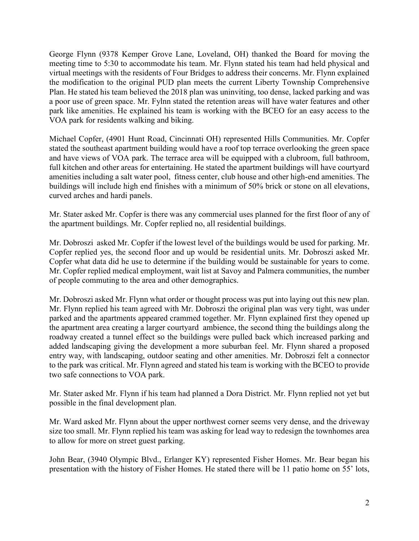George Flynn (9378 Kemper Grove Lane, Loveland, OH) thanked the Board for moving the meeting time to 5:30 to accommodate his team. Mr. Flynn stated his team had held physical and virtual meetings with the residents of Four Bridges to address their concerns. Mr. Flynn explained the modification to the original PUD plan meets the current Liberty Township Comprehensive Plan. He stated his team believed the 2018 plan was uninviting, too dense, lacked parking and was a poor use of green space. Mr. Fylnn stated the retention areas will have water features and other park like amenities. He explained his team is working with the BCEO for an easy access to the VOA park for residents walking and biking.

Michael Copfer, (4901 Hunt Road, Cincinnati OH) represented Hills Communities. Mr. Copfer stated the southeast apartment building would have a roof top terrace overlooking the green space and have views of VOA park. The terrace area will be equipped with a clubroom, full bathroom, full kitchen and other areas for entertaining. He stated the apartment buildings will have courtyard amenities including a salt water pool, fitness center, club house and other high-end amenities. The buildings will include high end finishes with a minimum of 50% brick or stone on all elevations, curved arches and hardi panels.

Mr. Stater asked Mr. Copfer is there was any commercial uses planned for the first floor of any of the apartment buildings. Mr. Copfer replied no, all residential buildings.

Mr. Dobroszi asked Mr. Copfer if the lowest level of the buildings would be used for parking. Mr. Copfer replied yes, the second floor and up would be residential units. Mr. Dobroszi asked Mr. Copfer what data did he use to determine if the building would be sustainable for years to come. Mr. Copfer replied medical employment, wait list at Savoy and Palmera communities, the number of people commuting to the area and other demographics.

Mr. Dobroszi asked Mr. Flynn what order or thought process was put into laying out this new plan. Mr. Flynn replied his team agreed with Mr. Dobroszi the original plan was very tight, was under parked and the apartments appeared crammed together. Mr. Flynn explained first they opened up the apartment area creating a larger courtyard ambience, the second thing the buildings along the roadway created a tunnel effect so the buildings were pulled back which increased parking and added landscaping giving the development a more suburban feel. Mr. Flynn shared a proposed entry way, with landscaping, outdoor seating and other amenities. Mr. Dobroszi felt a connector to the park was critical. Mr. Flynn agreed and stated his team is working with the BCEO to provide two safe connections to VOA park.

Mr. Stater asked Mr. Flynn if his team had planned a Dora District. Mr. Flynn replied not yet but possible in the final development plan.

Mr. Ward asked Mr. Flynn about the upper northwest corner seems very dense, and the driveway size too small. Mr. Flynn replied his team was asking for lead way to redesign the townhomes area to allow for more on street guest parking.

John Bear, (3940 Olympic Blvd., Erlanger KY) represented Fisher Homes. Mr. Bear began his presentation with the history of Fisher Homes. He stated there will be 11 patio home on 55' lots,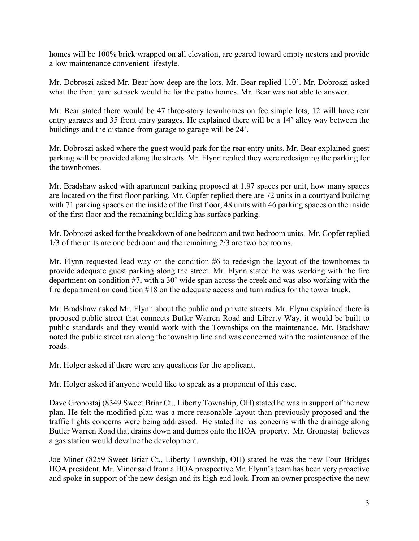homes will be 100% brick wrapped on all elevation, are geared toward empty nesters and provide a low maintenance convenient lifestyle.

Mr. Dobroszi asked Mr. Bear how deep are the lots. Mr. Bear replied 110'. Mr. Dobroszi asked what the front yard setback would be for the patio homes. Mr. Bear was not able to answer.

Mr. Bear stated there would be 47 three-story townhomes on fee simple lots, 12 will have rear entry garages and 35 front entry garages. He explained there will be a 14' alley way between the buildings and the distance from garage to garage will be 24'.

Mr. Dobroszi asked where the guest would park for the rear entry units. Mr. Bear explained guest parking will be provided along the streets. Mr. Flynn replied they were redesigning the parking for the townhomes.

Mr. Bradshaw asked with apartment parking proposed at 1.97 spaces per unit, how many spaces are located on the first floor parking. Mr. Copfer replied there are 72 units in a courtyard building with 71 parking spaces on the inside of the first floor, 48 units with 46 parking spaces on the inside of the first floor and the remaining building has surface parking.

Mr. Dobroszi asked for the breakdown of one bedroom and two bedroom units. Mr. Copfer replied 1/3 of the units are one bedroom and the remaining 2/3 are two bedrooms.

Mr. Flynn requested lead way on the condition #6 to redesign the layout of the townhomes to provide adequate guest parking along the street. Mr. Flynn stated he was working with the fire department on condition #7, with a 30' wide span across the creek and was also working with the fire department on condition #18 on the adequate access and turn radius for the tower truck.

Mr. Bradshaw asked Mr. Flynn about the public and private streets. Mr. Flynn explained there is proposed public street that connects Butler Warren Road and Liberty Way, it would be built to public standards and they would work with the Townships on the maintenance. Mr. Bradshaw noted the public street ran along the township line and was concerned with the maintenance of the roads.

Mr. Holger asked if there were any questions for the applicant.

Mr. Holger asked if anyone would like to speak as a proponent of this case.

Dave Gronostaj (8349 Sweet Briar Ct., Liberty Township, OH) stated he was in support of the new plan. He felt the modified plan was a more reasonable layout than previously proposed and the traffic lights concerns were being addressed. He stated he has concerns with the drainage along Butler Warren Road that drains down and dumps onto the HOA property. Mr. Gronostaj believes a gas station would devalue the development.

Joe Miner (8259 Sweet Briar Ct., Liberty Township, OH) stated he was the new Four Bridges HOA president. Mr. Miner said from a HOA prospective Mr. Flynn's team has been very proactive and spoke in support of the new design and its high end look. From an owner prospective the new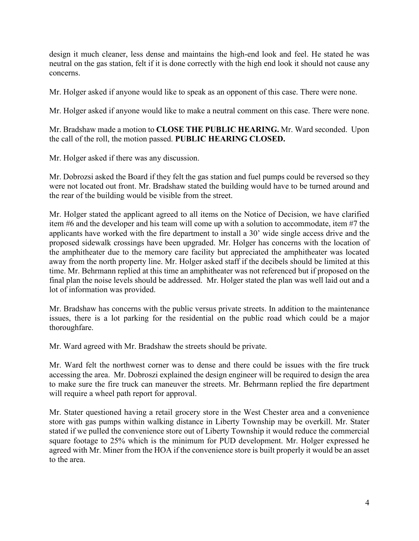design it much cleaner, less dense and maintains the high-end look and feel. He stated he was neutral on the gas station, felt if it is done correctly with the high end look it should not cause any concerns.

Mr. Holger asked if anyone would like to speak as an opponent of this case. There were none.

Mr. Holger asked if anyone would like to make a neutral comment on this case. There were none.

Mr. Bradshaw made a motion to **CLOSE THE PUBLIC HEARING.** Mr. Ward seconded. Upon the call of the roll, the motion passed. **PUBLIC HEARING CLOSED.**

Mr. Holger asked if there was any discussion.

Mr. Dobrozsi asked the Board if they felt the gas station and fuel pumps could be reversed so they were not located out front. Mr. Bradshaw stated the building would have to be turned around and the rear of the building would be visible from the street.

Mr. Holger stated the applicant agreed to all items on the Notice of Decision, we have clarified item #6 and the developer and his team will come up with a solution to accommodate, item #7 the applicants have worked with the fire department to install a 30' wide single access drive and the proposed sidewalk crossings have been upgraded. Mr. Holger has concerns with the location of the amphitheater due to the memory care facility but appreciated the amphitheater was located away from the north property line. Mr. Holger asked staff if the decibels should be limited at this time. Mr. Behrmann replied at this time an amphitheater was not referenced but if proposed on the final plan the noise levels should be addressed. Mr. Holger stated the plan was well laid out and a lot of information was provided.

Mr. Bradshaw has concerns with the public versus private streets. In addition to the maintenance issues, there is a lot parking for the residential on the public road which could be a major thoroughfare.

Mr. Ward agreed with Mr. Bradshaw the streets should be private.

Mr. Ward felt the northwest corner was to dense and there could be issues with the fire truck accessing the area. Mr. Dobroszi explained the design engineer will be required to design the area to make sure the fire truck can maneuver the streets. Mr. Behrmann replied the fire department will require a wheel path report for approval.

Mr. Stater questioned having a retail grocery store in the West Chester area and a convenience store with gas pumps within walking distance in Liberty Township may be overkill. Mr. Stater stated if we pulled the convenience store out of Liberty Township it would reduce the commercial square footage to 25% which is the minimum for PUD development. Mr. Holger expressed he agreed with Mr. Miner from the HOA if the convenience store is built properly it would be an asset to the area.